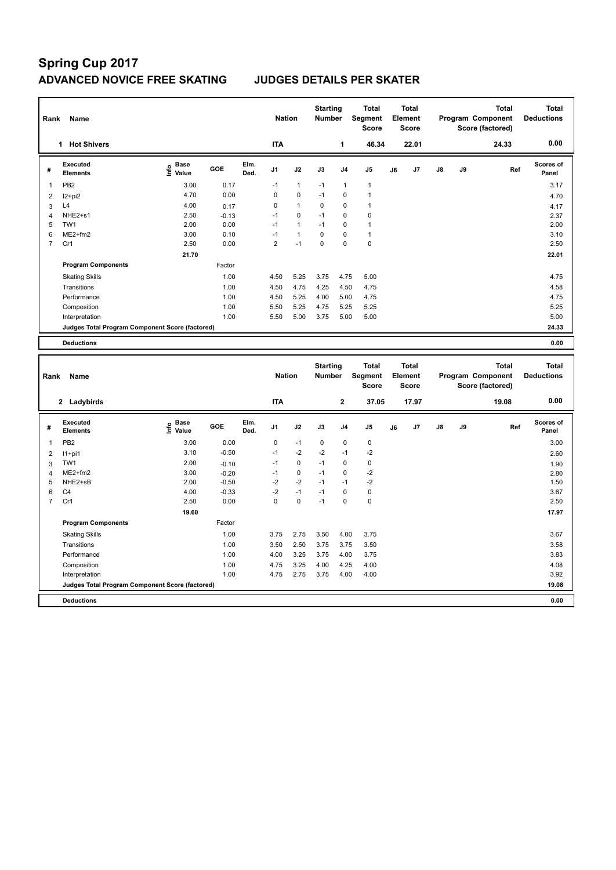# **Spring Cup 2017 ADVANCED NOVICE FREE SKATING JUDGES DETAILS PER SKATER**

| Rank | Name                                            |                           |         |              | <b>Nation</b>           |                      | <b>Starting</b><br><b>Number</b> |                | <b>Total</b><br><b>Segment</b><br><b>Score</b> |    | <b>Total</b><br>Element<br><b>Score</b> |               |    | <b>Total</b><br>Program Component<br>Score (factored) | <b>Total</b><br><b>Deductions</b> |
|------|-------------------------------------------------|---------------------------|---------|--------------|-------------------------|----------------------|----------------------------------|----------------|------------------------------------------------|----|-----------------------------------------|---------------|----|-------------------------------------------------------|-----------------------------------|
|      | <b>Hot Shivers</b><br>1                         |                           |         |              | <b>ITA</b>              |                      |                                  | 1              | 46.34                                          |    | 22.01                                   |               |    | 24.33                                                 | 0.00                              |
| #    | <b>Executed</b><br><b>Elements</b>              | Base<br>e Base<br>⊆ Value | GOE     | Elm.<br>Ded. | J <sub>1</sub>          | J2                   | J3                               | J <sub>4</sub> | J <sub>5</sub>                                 | J6 | J7                                      | $\mathsf{J}8$ | J9 | Ref                                                   | <b>Scores of</b><br>Panel         |
| 1    | PB <sub>2</sub>                                 | 3.00                      | 0.17    |              | $-1$                    | $\mathbf{1}$         | $-1$                             | 1              | 1                                              |    |                                         |               |    |                                                       | 3.17                              |
| 2    | $12+pi2$                                        | 4.70                      | 0.00    |              | 0                       | $\mathbf 0$          | $-1$                             | $\mathbf 0$    | $\overline{1}$                                 |    |                                         |               |    |                                                       | 4.70                              |
| 3    | L4                                              | 4.00                      | 0.17    |              | 0                       | $\mathbf{1}$         | 0                                | 0              | 1                                              |    |                                         |               |    |                                                       | 4.17                              |
| 4    | NHE2+s1                                         | 2.50                      | $-0.13$ |              | $-1$                    | $\mathbf 0$          | $-1$                             | 0              | $\mathbf 0$                                    |    |                                         |               |    |                                                       | 2.37                              |
| 5    | TW1                                             | 2.00                      | 0.00    |              | $-1$                    | $\mathbf{1}$         | $-1$                             | 0              | $\overline{1}$                                 |    |                                         |               |    |                                                       | 2.00                              |
| 6    | $ME2+fm2$                                       | 3.00                      | 0.10    |              | $-1$                    | $\blacktriangleleft$ | 0                                | 0              | 1                                              |    |                                         |               |    |                                                       | 3.10                              |
| 7    | Cr1                                             | 2.50                      | 0.00    |              | $\overline{\mathbf{c}}$ | $-1$                 | 0                                | $\Omega$       | $\mathbf 0$                                    |    |                                         |               |    |                                                       | 2.50                              |
|      |                                                 | 21.70                     |         |              |                         |                      |                                  |                |                                                |    |                                         |               |    |                                                       | 22.01                             |
|      | <b>Program Components</b>                       |                           | Factor  |              |                         |                      |                                  |                |                                                |    |                                         |               |    |                                                       |                                   |
|      | <b>Skating Skills</b>                           |                           | 1.00    |              | 4.50                    | 5.25                 | 3.75                             | 4.75           | 5.00                                           |    |                                         |               |    |                                                       | 4.75                              |
|      | Transitions                                     |                           | 1.00    |              | 4.50                    | 4.75                 | 4.25                             | 4.50           | 4.75                                           |    |                                         |               |    |                                                       | 4.58                              |
|      | Performance                                     |                           | 1.00    |              | 4.50                    | 5.25                 | 4.00                             | 5.00           | 4.75                                           |    |                                         |               |    |                                                       | 4.75                              |
|      | Composition                                     |                           | 1.00    |              | 5.50                    | 5.25                 | 4.75                             | 5.25           | 5.25                                           |    |                                         |               |    |                                                       | 5.25                              |
|      | Interpretation                                  |                           | 1.00    |              | 5.50                    | 5.00                 | 3.75                             | 5.00           | 5.00                                           |    |                                         |               |    |                                                       | 5.00                              |
|      | Judges Total Program Component Score (factored) |                           |         |              |                         |                      |                                  |                |                                                |    |                                         |               |    |                                                       | 24.33                             |
|      | <b>Deductions</b>                               |                           |         |              |                         |                      |                                  |                |                                                |    |                                         |               |    |                                                       | 0.00                              |

|                | Rank<br>Name                                    |                           |         |              | <b>Nation</b> |             | <b>Starting</b><br><b>Number</b> |                | <b>Total</b><br>Segment<br><b>Score</b> | <b>Total</b><br>Element<br><b>Score</b> |                | Program Component<br>Score (factored) |    | <b>Total</b> | <b>Total</b><br><b>Deductions</b> |
|----------------|-------------------------------------------------|---------------------------|---------|--------------|---------------|-------------|----------------------------------|----------------|-----------------------------------------|-----------------------------------------|----------------|---------------------------------------|----|--------------|-----------------------------------|
|                | 2 Ladybirds                                     |                           |         |              | <b>ITA</b>    |             |                                  | $\mathbf{2}$   | 37.05                                   |                                         | 17.97          |                                       |    | 19.08        | 0.00                              |
| #              | Executed<br><b>Elements</b>                     | Base<br>e Base<br>⊆ Value | GOE     | Elm.<br>Ded. | J1            | J2          | J3                               | J <sub>4</sub> | J <sub>5</sub>                          | J6                                      | J <sub>7</sub> | $\mathsf{J}8$                         | J9 | Ref          | <b>Scores of</b><br>Panel         |
| 1              | PB <sub>2</sub>                                 | 3.00                      | 0.00    |              | 0             | $-1$        | 0                                | 0              | $\mathbf 0$                             |                                         |                |                                       |    |              | 3.00                              |
| 2              | $11+pi1$                                        | 3.10                      | $-0.50$ |              | $-1$          | $-2$        | $-2$                             | $-1$           | $-2$                                    |                                         |                |                                       |    |              | 2.60                              |
| 3              | TW1                                             | 2.00                      | $-0.10$ |              | $-1$          | 0           | $-1$                             | 0              | $\mathbf 0$                             |                                         |                |                                       |    |              | 1.90                              |
| $\overline{4}$ | $ME2+fm2$                                       | 3.00                      | $-0.20$ |              | $-1$          | 0           | $-1$                             | 0              | $-2$                                    |                                         |                |                                       |    |              | 2.80                              |
| 5              | NHE2+sB                                         | 2.00                      | $-0.50$ |              | $-2$          | $-2$        | $-1$                             | $-1$           | -2                                      |                                         |                |                                       |    |              | 1.50                              |
| 6              | C <sub>4</sub>                                  | 4.00                      | $-0.33$ |              | $-2$          | $-1$        | $-1$                             | 0              | 0                                       |                                         |                |                                       |    |              | 3.67                              |
| $\overline{7}$ | Cr1                                             | 2.50                      | 0.00    |              | 0             | $\mathbf 0$ | $-1$                             | $\Omega$       | $\mathbf 0$                             |                                         |                |                                       |    |              | 2.50                              |
|                |                                                 | 19.60                     |         |              |               |             |                                  |                |                                         |                                         |                |                                       |    |              | 17.97                             |
|                | <b>Program Components</b>                       |                           | Factor  |              |               |             |                                  |                |                                         |                                         |                |                                       |    |              |                                   |
|                | <b>Skating Skills</b>                           |                           | 1.00    |              | 3.75          | 2.75        | 3.50                             | 4.00           | 3.75                                    |                                         |                |                                       |    |              | 3.67                              |
|                | Transitions                                     |                           | 1.00    |              | 3.50          | 2.50        | 3.75                             | 3.75           | 3.50                                    |                                         |                |                                       |    |              | 3.58                              |
|                | Performance                                     |                           | 1.00    |              | 4.00          | 3.25        | 3.75                             | 4.00           | 3.75                                    |                                         |                |                                       |    |              | 3.83                              |
|                | Composition                                     |                           | 1.00    |              | 4.75          | 3.25        | 4.00                             | 4.25           | 4.00                                    |                                         |                |                                       |    |              | 4.08                              |
|                | Interpretation                                  |                           | 1.00    |              | 4.75          | 2.75        | 3.75                             | 4.00           | 4.00                                    |                                         |                |                                       |    |              | 3.92                              |
|                | Judges Total Program Component Score (factored) |                           |         |              |               |             |                                  |                |                                         |                                         |                |                                       |    |              | 19.08                             |
|                | <b>Deductions</b>                               |                           |         |              |               |             |                                  |                |                                         |                                         |                |                                       |    |              | 0.00                              |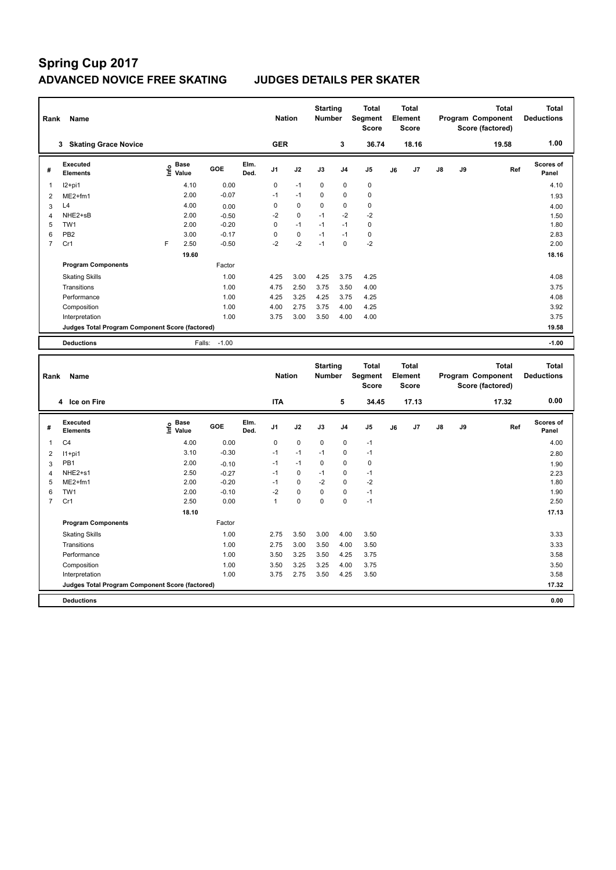# **Spring Cup 2017 ADVANCED NOVICE FREE SKATING JUDGES DETAILS PER SKATER**

| Rank | Name                                            |   |                                  |         |              | <b>Nation</b> |             | <b>Starting</b><br><b>Number</b> |                | <b>Total</b><br>Segment<br><b>Score</b> |    | <b>Total</b><br>Element<br><b>Score</b> |               |    | <b>Total</b><br>Program Component<br>Score (factored) | <b>Total</b><br><b>Deductions</b> |
|------|-------------------------------------------------|---|----------------------------------|---------|--------------|---------------|-------------|----------------------------------|----------------|-----------------------------------------|----|-----------------------------------------|---------------|----|-------------------------------------------------------|-----------------------------------|
|      | <b>Skating Grace Novice</b><br>3                |   |                                  |         |              | <b>GER</b>    |             |                                  | 3              | 36.74                                   |    | 18.16                                   |               |    | 19.58                                                 | 1.00                              |
| #    | <b>Executed</b><br><b>Elements</b>              |   | <b>Base</b><br>e Base<br>⊆ Value | GOE     | Elm.<br>Ded. | J1            | J2          | J3                               | J <sub>4</sub> | J <sub>5</sub>                          | J6 | J7                                      | $\mathsf{J}8$ | J9 | Ref                                                   | <b>Scores of</b><br>Panel         |
| 1    | $12+pi1$                                        |   | 4.10                             | 0.00    |              | 0             | $-1$        | $\mathbf 0$                      | $\mathbf 0$    | $\pmb{0}$                               |    |                                         |               |    |                                                       | 4.10                              |
| 2    | $ME2+fm1$                                       |   | 2.00                             | $-0.07$ |              | $-1$          | $-1$        | $\Omega$                         | $\Omega$       | $\mathbf 0$                             |    |                                         |               |    |                                                       | 1.93                              |
| 3    | L4                                              |   | 4.00                             | 0.00    |              | 0             | $\mathbf 0$ | $\mathbf 0$                      | $\mathbf 0$    | $\pmb{0}$                               |    |                                         |               |    |                                                       | 4.00                              |
| 4    | NHE2+sB                                         |   | 2.00                             | $-0.50$ |              | $-2$          | $\mathbf 0$ | $-1$                             | $-2$           | $-2$                                    |    |                                         |               |    |                                                       | 1.50                              |
| 5    | TW1                                             |   | 2.00                             | $-0.20$ |              | 0             | $-1$        | $-1$                             | $-1$           | $\mathbf 0$                             |    |                                         |               |    |                                                       | 1.80                              |
| 6    | PB <sub>2</sub>                                 |   | 3.00                             | $-0.17$ |              | 0             | 0           | $-1$                             | $-1$           | $\pmb{0}$                               |    |                                         |               |    |                                                       | 2.83                              |
| 7    | Cr1                                             | F | 2.50                             | $-0.50$ |              | $-2$          | $-2$        | $-1$                             | $\Omega$       | $-2$                                    |    |                                         |               |    |                                                       | 2.00                              |
|      |                                                 |   | 19.60                            |         |              |               |             |                                  |                |                                         |    |                                         |               |    |                                                       | 18.16                             |
|      | <b>Program Components</b>                       |   |                                  | Factor  |              |               |             |                                  |                |                                         |    |                                         |               |    |                                                       |                                   |
|      | <b>Skating Skills</b>                           |   |                                  | 1.00    |              | 4.25          | 3.00        | 4.25                             | 3.75           | 4.25                                    |    |                                         |               |    |                                                       | 4.08                              |
|      | Transitions                                     |   |                                  | 1.00    |              | 4.75          | 2.50        | 3.75                             | 3.50           | 4.00                                    |    |                                         |               |    |                                                       | 3.75                              |
|      | Performance                                     |   |                                  | 1.00    |              | 4.25          | 3.25        | 4.25                             | 3.75           | 4.25                                    |    |                                         |               |    |                                                       | 4.08                              |
|      | Composition                                     |   |                                  | 1.00    |              | 4.00          | 2.75        | 3.75                             | 4.00           | 4.25                                    |    |                                         |               |    |                                                       | 3.92                              |
|      | Interpretation                                  |   |                                  | 1.00    |              | 3.75          | 3.00        | 3.50                             | 4.00           | 4.00                                    |    |                                         |               |    |                                                       | 3.75                              |
|      | Judges Total Program Component Score (factored) |   |                                  |         |              |               |             |                                  |                |                                         |    |                                         |               |    |                                                       | 19.58                             |
|      | <b>Deductions</b>                               |   | Falls:                           | $-1.00$ |              |               |             |                                  |                |                                         |    |                                         |               |    |                                                       | $-1.00$                           |
|      |                                                 |   |                                  |         |              |               |             |                                  |                |                                         |    |                                         |               |    |                                                       |                                   |
|      |                                                 |   |                                  |         |              |               |             | <b>Ctarting</b>                  |                | Total                                   |    | Total                                   |               |    | Total                                                 | Total                             |

| Name<br>Rank   |                                                 |                                             |         |              |                | <b>Nation</b> |      | <b>Starting</b><br><b>Number</b> | Total<br>Segment<br><b>Score</b> | Total<br>Element<br><b>Score</b> |       |               |    | <b>Total</b><br>Program Component<br>Score (factored) | Total<br><b>Deductions</b> |
|----------------|-------------------------------------------------|---------------------------------------------|---------|--------------|----------------|---------------|------|----------------------------------|----------------------------------|----------------------------------|-------|---------------|----|-------------------------------------------------------|----------------------------|
|                | 4 Ice on Fire                                   |                                             |         |              | <b>ITA</b>     |               |      | 5                                | 34.45                            |                                  | 17.13 |               |    | 17.32                                                 | 0.00                       |
| #              | Executed<br><b>Elements</b>                     | <b>Base</b><br>e <sup>Base</sup><br>⊆ Value | GOE     | Elm.<br>Ded. | J <sub>1</sub> | J2            | J3   | J <sub>4</sub>                   | J <sub>5</sub>                   | J6                               | J7    | $\mathsf{J}8$ | J9 | Ref                                                   | <b>Scores of</b><br>Panel  |
| 1              | C <sub>4</sub>                                  | 4.00                                        | 0.00    |              | 0              | $\mathbf 0$   | 0    | 0                                | $-1$                             |                                  |       |               |    |                                                       | 4.00                       |
| 2              | $11+pi1$                                        | 3.10                                        | $-0.30$ |              | $-1$           | $-1$          | $-1$ | 0                                | $-1$                             |                                  |       |               |    |                                                       | 2.80                       |
| 3              | PB1                                             | 2.00                                        | $-0.10$ |              | $-1$           | $-1$          | 0    | 0                                | 0                                |                                  |       |               |    |                                                       | 1.90                       |
| $\overline{4}$ | NHE2+s1                                         | 2.50                                        | $-0.27$ |              | $-1$           | 0             | $-1$ | 0                                | $-1$                             |                                  |       |               |    |                                                       | 2.23                       |
| 5              | $ME2+fm1$                                       | 2.00                                        | $-0.20$ |              | $-1$           | $\mathbf 0$   | $-2$ | $\mathbf 0$                      | $-2$                             |                                  |       |               |    |                                                       | 1.80                       |
| 6              | TW1                                             | 2.00                                        | $-0.10$ |              | $-2$           | $\mathbf 0$   | 0    | 0                                | $-1$                             |                                  |       |               |    |                                                       | 1.90                       |
| 7              | Cr1                                             | 2.50                                        | 0.00    |              | 1              | $\mathbf 0$   | 0    | 0                                | $-1$                             |                                  |       |               |    |                                                       | 2.50                       |
|                |                                                 | 18.10                                       |         |              |                |               |      |                                  |                                  |                                  |       |               |    |                                                       | 17.13                      |
|                | <b>Program Components</b>                       |                                             | Factor  |              |                |               |      |                                  |                                  |                                  |       |               |    |                                                       |                            |
|                | <b>Skating Skills</b>                           |                                             | 1.00    |              | 2.75           | 3.50          | 3.00 | 4.00                             | 3.50                             |                                  |       |               |    |                                                       | 3.33                       |
|                | Transitions                                     |                                             | 1.00    |              | 2.75           | 3.00          | 3.50 | 4.00                             | 3.50                             |                                  |       |               |    |                                                       | 3.33                       |
|                | Performance                                     |                                             | 1.00    |              | 3.50           | 3.25          | 3.50 | 4.25                             | 3.75                             |                                  |       |               |    |                                                       | 3.58                       |
|                | Composition                                     |                                             | 1.00    |              | 3.50           | 3.25          | 3.25 | 4.00                             | 3.75                             |                                  |       |               |    |                                                       | 3.50                       |
|                | Interpretation                                  |                                             | 1.00    |              | 3.75           | 2.75          | 3.50 | 4.25                             | 3.50                             |                                  |       |               |    |                                                       | 3.58                       |
|                | Judges Total Program Component Score (factored) |                                             |         |              |                |               |      |                                  |                                  |                                  |       |               |    |                                                       | 17.32                      |
|                | <b>Deductions</b>                               |                                             |         |              |                |               |      |                                  |                                  |                                  |       |               |    |                                                       | 0.00                       |